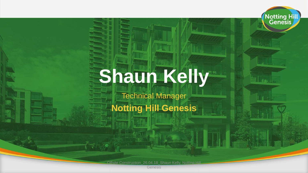# **Shaun Kelly**

Notting Hill

Technical Manager

#### **Notting Hill Genesis**

Offsite Construction\_26.04.18\_Shaun Kelly, Notting Hill

Genesis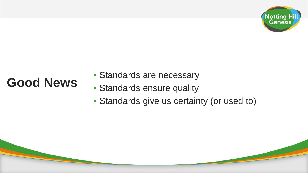

#### **Good News**

- Standards are necessary
- Standards ensure quality
- Standards give us certainty (or used to)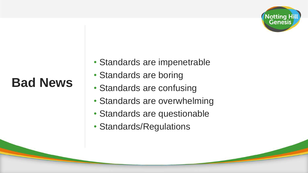

#### **Bad News**

- Standards are impenetrable
- Standards are boring
- Standards are confusing
- Standards are overwhelming
- Standards are questionable
- Standards/Regulations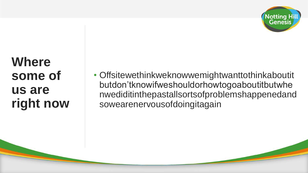

## **Where some of us are right now**

• Offsitewethinkweknowwemightwanttothinkaboutit butdon'tknowifweshouldorhowtogoaboutitbutwhe nwediditinthepastallsortsofproblemshappenedand sowearenervousofdoingitagain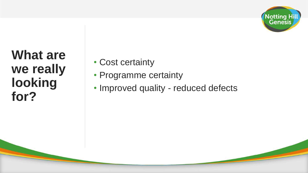

## **What are we really looking for?**

- Cost certainty
- Programme certainty
- Improved quality reduced defects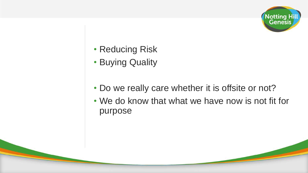

- Reducing Risk
- Buying Quality
- Do we really care whether it is offsite or not?
- We do know that what we have now is not fit for purpose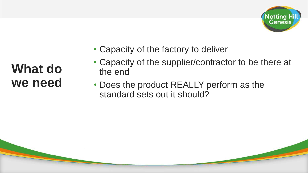

#### **What do we need**

- Capacity of the factory to deliver
- Capacity of the supplier/contractor to be there at the end
- Does the product REALLY perform as the standard sets out it should?